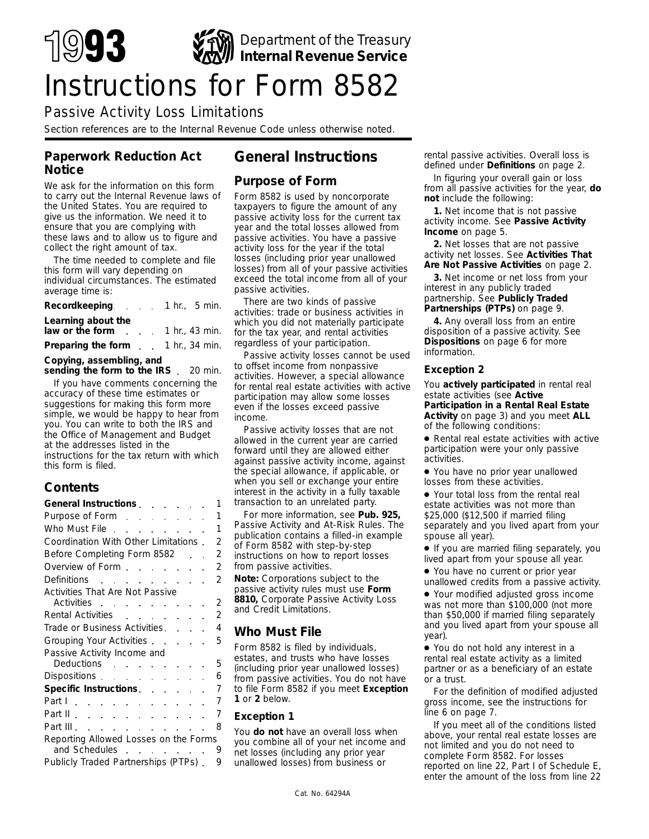

# Passive Activity Loss Limitations

*Section references are to the Internal Revenue Code unless otherwise noted.*

### **Paperwork Reduction Act Notice**

We ask for the information on this form to carry out the Internal Revenue laws of the United States. You are required to give us the information. We need it to ensure that you are complying with these laws and to allow us to figure and collect the right amount of tax.

The time needed to complete and file this form will vary depending on individual circumstances. The estimated average time is:

| Recordkeeping. 1 hr., 5 min.                   |  |  |
|------------------------------------------------|--|--|
| Learning about the                             |  |  |
| law or the form $\qquad \qquad$ 1 hr., 43 min. |  |  |
| <b>Preparing the form</b> . 1 hr., 34 min.     |  |  |

#### **Copying, assembling, and**

sending the form to the IRS 20 min. If you have comments concerning the accuracy of these time estimates or suggestions for making this form more simple, we would be happy to hear from you. You can write to both the IRS and the Office of Management and Budget at the addresses listed in the instructions for the tax return with which this form is filed.

## **Contents**

| General Instructions                  |  |  |  |  |  |  |  | 1 |
|---------------------------------------|--|--|--|--|--|--|--|---|
| Purpose of Form                       |  |  |  |  |  |  |  | 1 |
| Who Must File                         |  |  |  |  |  |  |  | 1 |
| Coordination With Other Limitations.  |  |  |  |  |  |  |  | 2 |
| Before Completing Form 8582           |  |  |  |  |  |  |  | 2 |
| Overview of Form                      |  |  |  |  |  |  |  | 2 |
| Definitions                           |  |  |  |  |  |  |  | 2 |
| Activities That Are Not Passive       |  |  |  |  |  |  |  |   |
| Activities                            |  |  |  |  |  |  |  | 2 |
| Rental Activities                     |  |  |  |  |  |  |  | 2 |
| Trade or Business Activities.         |  |  |  |  |  |  |  | 4 |
| Grouping Your Activities              |  |  |  |  |  |  |  | 5 |
| Passive Activity Income and           |  |  |  |  |  |  |  |   |
| Deductions                            |  |  |  |  |  |  |  | 5 |
| Dispositions                          |  |  |  |  |  |  |  | 6 |
| Specific Instructions.                |  |  |  |  |  |  |  | 7 |
| Part I                                |  |  |  |  |  |  |  | 7 |
| Part II                               |  |  |  |  |  |  |  | 7 |
| Part III                              |  |  |  |  |  |  |  | 8 |
| Reporting Allowed Losses on the Forms |  |  |  |  |  |  |  |   |
| and Schedules                         |  |  |  |  |  |  |  | 9 |
| Publicly Traded Partnerships (PTPs)   |  |  |  |  |  |  |  | 9 |

## **General Instructions**

### **Purpose of Form**

Form 8582 is used by noncorporate taxpayers to figure the amount of any passive activity loss for the current tax year and the total losses allowed from passive activities. You have a passive activity loss for the year if the total losses (including prior year unallowed losses) from all of your passive activities exceed the total income from all of your passive activities.

There are two kinds of passive activities: trade or business activities in which you did not materially participate for the tax year, and rental activities regardless of your participation.

Passive activity losses cannot be used to offset income from nonpassive activities. However, a special allowance for rental real estate activities with active participation may allow some losses even if the losses exceed passive income.

Passive activity losses that are not allowed in the current year are carried forward until they are allowed either against passive activity income, against the special allowance, if applicable, or when you sell or exchange your entire interest in the activity in a fully taxable transaction to an unrelated party.

For more information, see **Pub. 925,** Passive Activity and At-Risk Rules. The publication contains a filled-in example of Form 8582 with step-by-step instructions on how to report losses from passive activities.

**Note:** *Corporations subject to the passive activity rules must use Form 8810, Corporate Passive Activity Loss and Credit Limitations.*

### **Who Must File**

Form 8582 is filed by individuals, estates, and trusts who have losses (including prior year unallowed losses) from passive activities. You do not have to file Form 8582 if you meet **Exception 1** or **2** below.

#### **Exception 1**

You **do not** have an overall loss when you combine all of your net income and net losses (including any prior year unallowed losses) from business or

rental passive activities. Overall loss is defined under **Definitions** on page 2.

In figuring your overall gain or loss from all passive activities for the year, **do not** include the following:

**1.** Net income that is not passive activity income. See **Passive Activity Income** on page 5.

**2.** Net losses that are not passive activity net losses. See **Activities That Are Not Passive Activities** on page 2.

**3.** Net income or net loss from your interest in any publicly traded partnership. See **Publicly Traded Partnerships (PTPs)** on page 9.

**4.** Any overall loss from an entire disposition of a passive activity. See **Dispositions** on page 6 for more information.

#### **Exception 2**

You **actively participated** in rental real estate activities (see **Active Participation in a Rental Real Estate Activity** on page 3) and you meet **ALL** of the following conditions:

● Rental real estate activities with active participation were your only passive activities.

● You have no prior year unallowed losses from these activities.

● Your total loss from the rental real estate activities was not more than \$25,000 (\$12,500 if married filing separately and you lived apart from your spouse all year).

● If you are married filing separately, you lived apart from your spouse all year.

● You have no current or prior year

unallowed credits from a passive activity.

● Your modified adjusted gross income was not more than \$100,000 (not more than \$50,000 if married filing separately and you lived apart from your spouse all year).

● You do not hold any interest in a rental real estate activity as a limited partner or as a beneficiary of an estate or a trust.

For the definition of modified adjusted gross income, see the instructions for line 6 on page 7.

If you meet all of the conditions listed above, your rental real estate losses are not limited and you do not need to complete Form 8582. For losses reported on line 22, Part I of Schedule E, enter the amount of the loss from line 22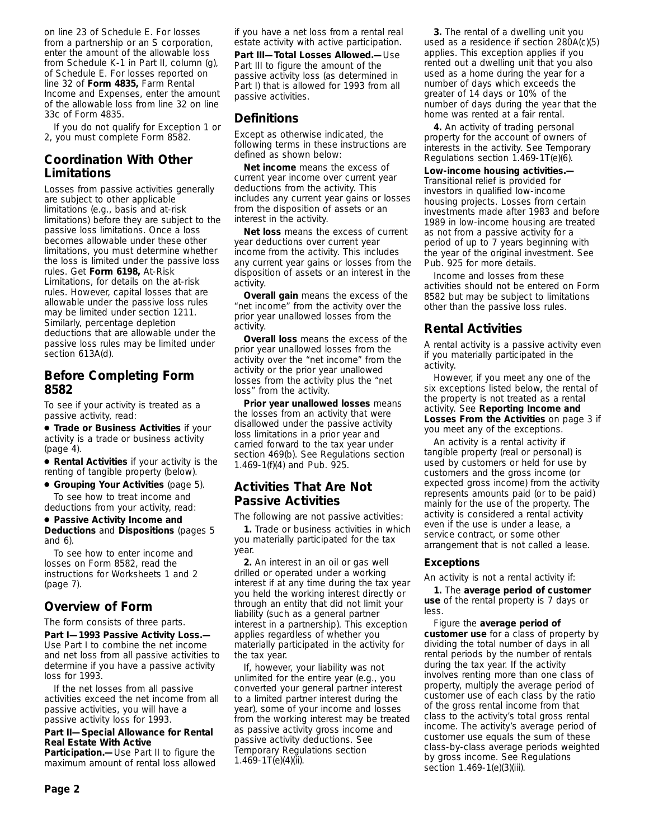on line 23 of Schedule E. For losses from a partnership or an S corporation, enter the amount of the allowable loss from Schedule K-1 in Part II, column (g), of Schedule E. For losses reported on line 32 of **Form 4835,** Farm Rental Income and Expenses, enter the amount of the allowable loss from line 32 on line 33c of Form 4835.

If you do not qualify for Exception 1 or 2, you must complete Form 8582.

## **Coordination With Other Limitations**

Losses from passive activities generally are subject to other applicable limitations (e.g., basis and at-risk limitations) before they are subject to the passive loss limitations. Once a loss becomes allowable under these other limitations, you must determine whether the loss is limited under the passive loss rules. Get **Form 6198,** At-Risk Limitations, for details on the at-risk rules. However, capital losses that are allowable under the passive loss rules may be limited under section 1211. Similarly, percentage depletion deductions that are allowable under the passive loss rules may be limited under section 613A(d).

## **Before Completing Form 8582**

To see if your activity is treated as a passive activity, read:

● **Trade or Business Activities** if your activity is a trade or business activity (page 4).

● **Rental Activities** if your activity is the renting of tangible property (below).

● **Grouping Your Activities** (page 5). To see how to treat income and deductions from your activity, read:

● **Passive Activity Income and Deductions** and **Dispositions** (pages 5 and 6).

To see how to enter income and losses on Form 8582, read the instructions for Worksheets 1 and 2 (page 7).

## **Overview of Form**

The form consists of three parts.

**Part I—1993 Passive Activity Loss.—** Use Part I to combine the net income and net loss from all passive activities to determine if you have a passive activity loss for 1993.

If the net losses from all passive activities exceed the net income from all passive activities, you will have a passive activity loss for 1993.

#### **Part II—Special Allowance for Rental Real Estate With Active**

**Participation.—**Use Part II to figure the maximum amount of rental loss allowed if you have a net loss from a rental real estate activity with active participation. **Part III—Total Losses Allowed.—**Use Part III to figure the amount of the passive activity loss (as determined in

Part I) that is allowed for 1993 from all

# **Definitions**

passive activities.

Except as otherwise indicated, the following terms in these instructions are defined as shown below:

**Net income** means the excess of current year income over current year deductions from the activity. This includes any current year gains or losses from the disposition of assets or an interest in the activity.

**Net loss** means the excess of current year deductions over current year income from the activity. This includes any current year gains or losses from the disposition of assets or an interest in the activity.

**Overall gain** means the excess of the "net income" from the activity over the prior year unallowed losses from the activity.

**Overall loss** means the excess of the prior year unallowed losses from the activity over the "net income" from the activity or the prior year unallowed losses from the activity plus the "net loss" from the activity.

**Prior year unallowed losses** means the losses from an activity that were disallowed under the passive activity loss limitations in a prior year and carried forward to the tax year under section 469(b). See Regulations section 1.469-1(f)(4) and Pub. 925.

## **Activities That Are Not Passive Activities**

The following are not passive activities:

**1.** Trade or business activities in which you materially participated for the tax year.

**2.** An interest in an oil or gas well drilled or operated under a working interest if at any time during the tax year you held the working interest directly or through an entity that did not limit your liability (such as a general partner interest in a partnership). This exception applies regardless of whether you materially participated in the activity for the tax year.

If, however, your liability was not unlimited for the entire year (e.g., you converted your general partner interest to a limited partner interest during the year), some of your income and losses from the working interest may be treated as passive activity gross income and passive activity deductions. See Temporary Regulations section  $1.469 - 1T(e)(4)(ii)$ .

**3.** The rental of a dwelling unit you used as a residence if section 280A(c)(5) applies. This exception applies if you rented out a dwelling unit that you also used as a home during the year for a number of days which exceeds the greater of 14 days or 10% of the number of days during the year that the home was rented at a fair rental.

**4.** An activity of trading personal property for the account of owners of interests in the activity. See Temporary Regulations section 1.469-1T(e)(6).

**Low-income housing activities.—** Transitional relief is provided for investors in qualified low-income housing projects. Losses from certain investments made after 1983 and before 1989 in low-income housing are treated as not from a passive activity for a period of up to 7 years beginning with the year of the original investment. See Pub. 925 for more details.

Income and losses from these activities should not be entered on Form 8582 but may be subject to limitations other than the passive loss rules.

# **Rental Activities**

A rental activity is a passive activity even if you materially participated in the activity.

However, if you meet any one of the six exceptions listed below, the rental of the property is not treated as a rental activity. See **Reporting Income and Losses From the Activities** on page 3 if you meet any of the exceptions.

An activity is a rental activity if tangible property (real or personal) is used by customers or held for use by customers and the gross income (or expected gross income) from the activity represents amounts paid (or to be paid) mainly for the use of the property. The activity is considered a rental activity even if the use is under a lease, a service contract, or some other arrangement that is not called a lease.

### **Exceptions**

An activity is not a rental activity if:

**1.** The **average period of customer use** of the rental property is 7 days or less.

Figure the **average period of customer use** for a class of property by dividing the total number of days in all rental periods by the number of rentals during the tax year. If the activity involves renting more than one class of property, multiply the average period of customer use of each class by the ratio of the gross rental income from that class to the activity's total gross rental income. The activity's average period of customer use equals the sum of these class-by-class average periods weighted by gross income. See Regulations section 1.469-1(e)(3)(iii).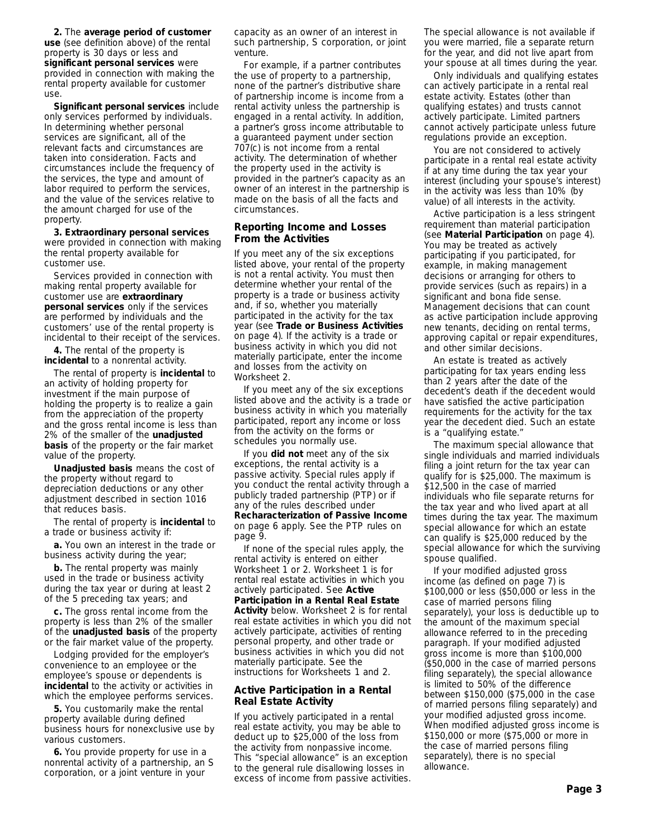**2.** The **average period of customer use** (see definition above) of the rental property is 30 days or less and **significant personal services** were provided in connection with making the rental property available for customer use.

**Significant personal services** include only services performed by individuals. In determining whether personal services are significant, all of the relevant facts and circumstances are taken into consideration. Facts and circumstances include the frequency of the services, the type and amount of labor required to perform the services and the value of the services relative to the amount charged for use of the property.

**3. Extraordinary personal services** were provided in connection with making the rental property available for customer use.

Services provided in connection with making rental property available for customer use are **extraordinary personal services** only if the services are performed by individuals and the customers' use of the rental property is incidental to their receipt of the services.

**4.** The rental of the property is **incidental** to a nonrental activity.

The rental of property is **incidental** to an activity of holding property for investment if the main purpose of holding the property is to realize a gain from the appreciation of the property and the gross rental income is less than 2% of the smaller of the **unadjusted basis** of the property or the fair market value of the property.

**Unadjusted basis** means the cost of the property without regard to depreciation deductions or any other adjustment described in section 1016 that reduces basis.

The rental of property is **incidental** to a trade or business activity if:

**a.** You own an interest in the trade or business activity during the year;

**b.** The rental property was mainly used in the trade or business activity during the tax year or during at least 2 of the 5 preceding tax years; and

**c.** The gross rental income from the property is less than 2% of the smaller of the **unadjusted basis** of the property or the fair market value of the property.

Lodging provided for the employer's convenience to an employee or the employee's spouse or dependents is **incidental** to the activity or activities in which the employee performs services.

**5.** You customarily make the rental property available during defined business hours for nonexclusive use by various customers.

**6.** You provide property for use in a nonrental activity of a partnership, an S corporation, or a joint venture in your

capacity as an owner of an interest in such partnership, S corporation, or joint venture.

For example, if a partner contributes the use of property to a partnership, none of the partner's distributive share of partnership income is income from a rental activity unless the partnership is engaged in a rental activity. In addition, a partner's gross income attributable to a guaranteed payment under section 707(c) is not income from a rental activity. The determination of whether the property used in the activity is provided in the partner's capacity as an owner of an interest in the partnership is made on the basis of all the facts and circumstances.

#### **Reporting Income and Losses From the Activities**

If you meet any of the six exceptions listed above, your rental of the property is not a rental activity. You must then determine whether your rental of the property is a trade or business activity and, if so, whether you materially participated in the activity for the tax year (see **Trade or Business Activities** on page 4). If the activity is a trade or business activity in which you did not materially participate, enter the income and losses from the activity on Worksheet 2.

If you meet any of the six exceptions listed above and the activity is a trade or business activity in which you materially participated, report any income or loss from the activity on the forms or schedules you normally use.

If you **did not** meet any of the six exceptions, the rental activity is a passive activity. Special rules apply if you conduct the rental activity through a publicly traded partnership (PTP) or if any of the rules described under **Recharacterization of Passive Income**

on page 6 apply. See the PTP rules on page 9.

If none of the special rules apply, the rental activity is entered on either Worksheet 1 or 2. Worksheet 1 is for rental real estate activities in which you actively participated. See **Active Participation in a Rental Real Estate Activity** below. Worksheet 2 is for rental real estate activities in which you did not actively participate, activities of renting personal property, and other trade or business activities in which you did not materially participate. See the instructions for Worksheets 1 and 2.

### **Active Participation in a Rental Real Estate Activity**

If you actively participated in a rental real estate activity, you may be able to deduct up to \$25,000 of the loss from the activity from nonpassive income. This "special allowance" is an exception to the general rule disallowing losses in excess of income from passive activities. The special allowance is not available if you were married, file a separate return for the year, and did not live apart from your spouse at all times during the year.

Only individuals and qualifying estates can actively participate in a rental real estate activity. Estates (other than qualifying estates) and trusts cannot actively participate. Limited partners cannot actively participate unless future regulations provide an exception.

You are not considered to actively participate in a rental real estate activity if at any time during the tax year your interest (including your spouse's interest) in the activity was less than 10% (by value) of all interests in the activity.

Active participation is a less stringent requirement than material participation (see **Material Participation** on page 4). You may be treated as actively participating if you participated, for example, in making management decisions or arranging for others to provide services (such as repairs) in a significant and bona fide sense. Management decisions that can count as active participation include approving new tenants, deciding on rental terms, approving capital or repair expenditures, and other similar decisions.

An estate is treated as actively participating for tax years ending less than 2 years after the date of the decedent's death if the decedent would have satisfied the active participation requirements for the activity for the tax year the decedent died. Such an estate is a "qualifying estate."

The maximum special allowance that single individuals and married individuals filing a joint return for the tax year can qualify for is \$25,000. The maximum is \$12,500 in the case of married individuals who file separate returns for the tax year and who lived apart at all times during the tax year. The maximum special allowance for which an estate can qualify is \$25,000 reduced by the special allowance for which the surviving spouse qualified.

If your modified adjusted gross income (as defined on page 7) is \$100,000 or less (\$50,000 or less in the case of married persons filing separately), your loss is deductible up to the amount of the maximum special allowance referred to in the preceding paragraph. If your modified adjusted gross income is more than \$100,000 (\$50,000 in the case of married persons filing separately), the special allowance is limited to 50% of the difference between \$150,000 (\$75,000 in the case of married persons filing separately) and your modified adjusted gross income. When modified adjusted gross income is \$150,000 or more (\$75,000 or more in the case of married persons filing separately), there is no special allowance.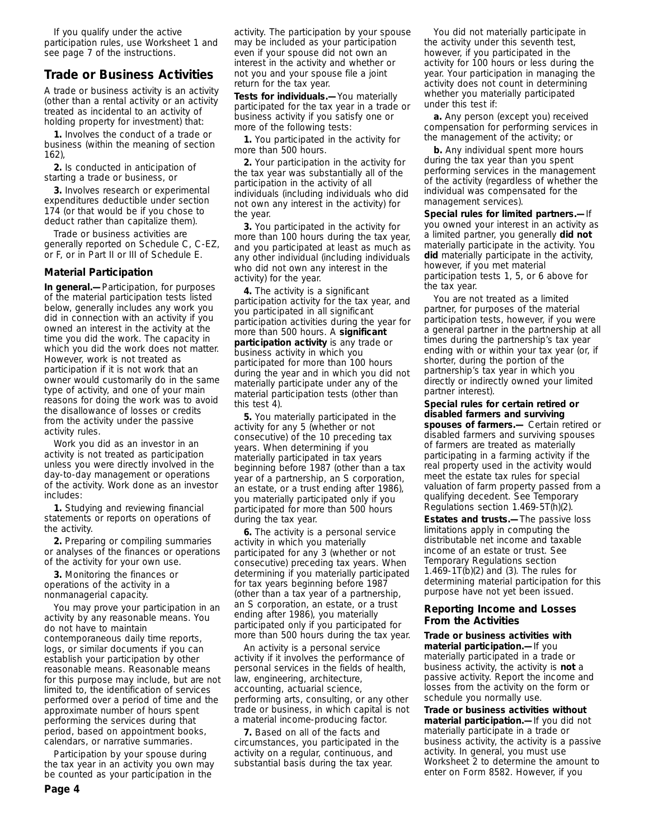If you qualify under the active participation rules, use Worksheet 1 and see page 7 of the instructions.

## **Trade or Business Activities**

A trade or business activity is an activity (other than a rental activity or an activity treated as incidental to an activity of holding property for investment) that:

**1.** Involves the conduct of a trade or business (within the meaning of section 162),

**2.** Is conducted in anticipation of starting a trade or business, or

**3.** Involves research or experimental expenditures deductible under section 174 (or that would be if you chose to deduct rather than capitalize them).

Trade or business activities are generally reported on Schedule C, C-EZ, or F, or in Part II or III of Schedule E.

#### **Material Participation**

**In general.—**Participation, for purposes of the material participation tests listed below, generally includes any work you did in connection with an activity if you owned an interest in the activity at the time you did the work. The capacity in which you did the work does not matter. However, work is not treated as participation if it is not work that an owner would customarily do in the same type of activity, and one of your main reasons for doing the work was to avoid the disallowance of losses or credits from the activity under the passive activity rules.

Work you did as an investor in an activity is not treated as participation unless you were directly involved in the day-to-day management or operations of the activity. Work done as an investor includes:

**1.** Studying and reviewing financial statements or reports on operations of the activity.

**2.** Preparing or compiling summaries or analyses of the finances or operations of the activity for your own use.

**3.** Monitoring the finances or operations of the activity in a nonmanagerial capacity.

You may prove your participation in an activity by any reasonable means. You do not have to maintain contemporaneous daily time reports, logs, or similar documents if you can establish your participation by other reasonable means. Reasonable means for this purpose may include, but are not limited to, the identification of services performed over a period of time and the approximate number of hours spent performing the services during that period, based on appointment books, calendars, or narrative summaries.

Participation by your spouse during the tax year in an activity you own may be counted as your participation in the

activity. The participation by your spouse may be included as your participation even if your spouse did not own an interest in the activity and whether or not you and your spouse file a joint return for the tax year.

**Tests for individuals.—**You materially participated for the tax year in a trade or business activity if you satisfy one or more of the following tests:

**1.** You participated in the activity for more than 500 hours.

**2.** Your participation in the activity for the tax year was substantially all of the participation in the activity of all individuals (including individuals who did not own any interest in the activity) for the year.

**3.** You participated in the activity for more than 100 hours during the tax year, and you participated at least as much as any other individual (including individuals who did not own any interest in the activity) for the year.

**4.** The activity is a significant participation activity for the tax year, and you participated in all significant participation activities during the year for more than 500 hours. A **significant participation activity** is any trade or business activity in which you participated for more than 100 hours during the year and in which you did not materially participate under any of the material participation tests (other than this test 4).

**5.** You materially participated in the activity for any 5 (whether or not consecutive) of the 10 preceding tax years. When determining if you materially participated in tax years beginning before 1987 (other than a tax year of a partnership, an S corporation, an estate, or a trust ending after 1986), you materially participated only if you participated for more than 500 hours during the tax year.

**6.** The activity is a personal service activity in which you materially participated for any 3 (whether or not consecutive) preceding tax years. When determining if you materially participated for tax years beginning before 1987 (other than a tax year of a partnership, an S corporation, an estate, or a trust ending after 1986), you materially participated only if you participated for more than 500 hours during the tax year.

An activity is a personal service activity if it involves the performance of personal services in the fields of health, law, engineering, architecture, accounting, actuarial science, performing arts, consulting, or any other trade or business, in which capital is not a material income-producing factor.

**7.** Based on all of the facts and circumstances, you participated in the activity on a regular, continuous, and substantial basis during the tax year.

You did not materially participate in the activity under this seventh test, however, if you participated in the activity for 100 hours or less during the year. Your participation in managing the activity does not count in determining whether you materially participated under this test if:

**a.** Any person (except you) received compensation for performing services in the management of the activity; or

**b.** Any individual spent more hours during the tax year than you spent performing services in the management of the activity (regardless of whether the individual was compensated for the management services).

**Special rules for limited partners.—**If you owned your interest in an activity as a limited partner, you generally **did not** materially participate in the activity. You **did** materially participate in the activity, however, if you met material participation tests 1, 5, or 6 above for the tax year.

You are not treated as a limited partner, for purposes of the material participation tests, however, if you were a general partner in the partnership at all times during the partnership's tax year ending with or within your tax year (or, if shorter, during the portion of the partnership's tax year in which you directly or indirectly owned your limited partner interest).

**Special rules for certain retired or disabled farmers and surviving spouses of farmers.—** Certain retired or disabled farmers and surviving spouses of farmers are treated as materially participating in a farming activity if the real property used in the activity would meet the estate tax rules for special valuation of farm property passed from a qualifying decedent. See Temporary Regulations section 1.469-5T(h)(2).

**Estates and trusts.—**The passive loss limitations apply in computing the distributable net income and taxable income of an estate or trust. See Temporary Regulations section 1.469-1T( $b$ )(2) and (3). The rules for determining material participation for this purpose have not yet been issued.

#### **Reporting Income and Losses From the Activities**

**Trade or business activities with material participation.—**If you materially participated in a trade or business activity, the activity is **not** a passive activity. Report the income and losses from the activity on the form or schedule you normally use.

**Trade or business activities without material participation.—**If you did not materially participate in a trade or business activity, the activity is a passive activity. In general, you must use Worksheet 2 to determine the amount to enter on Form 8582. However, if you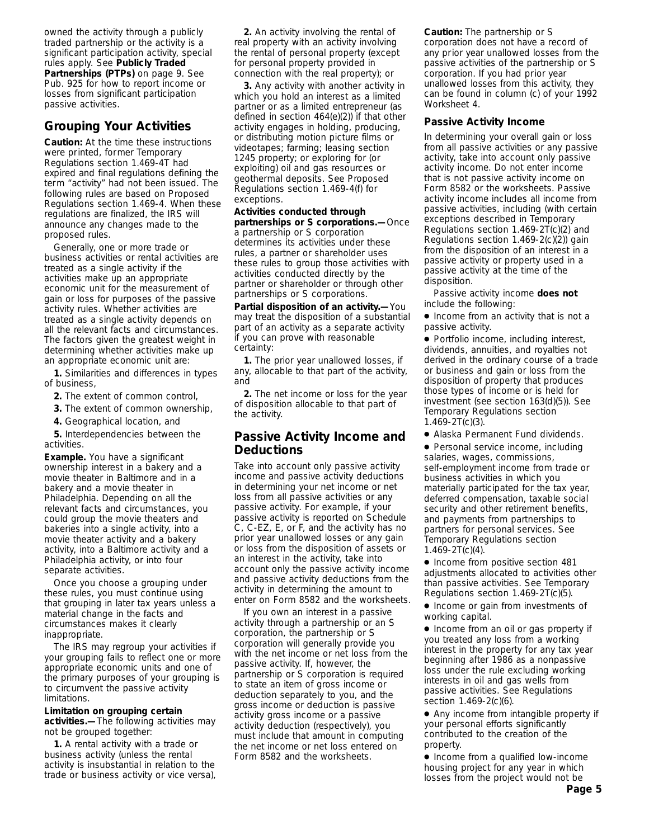owned the activity through a publicly traded partnership or the activity is a significant participation activity, special rules apply. See **Publicly Traded Partnerships (PTPs)** on page 9. See Pub. 925 for how to report income or losses from significant participation passive activities.

# **Grouping Your Activities**

**Caution:** *At the time these instructions were printed, former Temporary Regulations section 1.469-4T had expired and final regulations defining the term "activity" had not been issued. The following rules are based on Proposed Regulations section 1.469-4. When these regulations are finalized, the IRS will announce any changes made to the proposed rules.*

Generally, one or more trade or business activities or rental activities are treated as a single activity if the activities make up an appropriate economic unit for the measurement of gain or loss for purposes of the passive activity rules. Whether activities are treated as a single activity depends on all the relevant facts and circumstances. The factors given the greatest weight in determining whether activities make up an appropriate economic unit are:

**1.** Similarities and differences in types of business,

**2.** The extent of common control,

**3.** The extent of common ownership,

**4.** Geographical location, and

**5.** Interdependencies between the activities.

**Example.** You have a significant ownership interest in a bakery and a movie theater in Baltimore and in a bakery and a movie theater in Philadelphia. Depending on all the relevant facts and circumstances, you could group the movie theaters and bakeries into a single activity, into a movie theater activity and a bakery activity, into a Baltimore activity and a Philadelphia activity, or into four separate activities.

Once you choose a grouping under these rules, you must continue using that grouping in later tax years unless a material change in the facts and circumstances makes it clearly inappropriate.

The IRS may regroup your activities if your grouping fails to reflect one or more appropriate economic units and one of the primary purposes of your grouping is to circumvent the passive activity limitations.

**Limitation on grouping certain activities.—**The following activities may not be grouped together:

**1.** A rental activity with a trade or business activity (unless the rental activity is insubstantial in relation to the trade or business activity or vice versa),

**2.** An activity involving the rental of real property with an activity involving the rental of personal property (except for personal property provided in connection with the real property); or

**3.** Any activity with another activity in which you hold an interest as a limited partner or as a limited entrepreneur (as defined in section 464(e)(2)) if that other activity engages in holding, producing, or distributing motion picture films or videotapes; farming; leasing section 1245 property; or exploring for (or exploiting) oil and gas resources or geothermal deposits. See Proposed Regulations section 1.469-4(f) for exceptions.

**Activities conducted through partnerships or S corporations.—**Once a partnership or S corporation determines its activities under these rules, a partner or shareholder uses these rules to group those activities with activities conducted directly by the partner or shareholder or through other partnerships or S corporations.

**Partial disposition of an activity.—**You may treat the disposition of a substantial part of an activity as a separate activity if you can prove with reasonable certainty:

**1.** The prior year unallowed losses, if any, allocable to that part of the activity, and

**2.** The net income or loss for the year of disposition allocable to that part of the activity.

### **Passive Activity Income and Deductions**

Take into account only passive activity income and passive activity deductions in determining your net income or net loss from all passive activities or any passive activity. For example, if your passive activity is reported on Schedule C, C-EZ, E, or F, and the activity has no prior year unallowed losses or any gain or loss from the disposition of assets or an interest in the activity, take into account only the passive activity income and passive activity deductions from the activity in determining the amount to enter on Form 8582 and the worksheets.

If you own an interest in a passive activity through a partnership or an S corporation, the partnership or S corporation will generally provide you with the net income or net loss from the passive activity. If, however, the partnership or S corporation is required to state an item of gross income or deduction separately to you, and the gross income or deduction is passive activity gross income or a passive activity deduction (respectively), you must include that amount in computing the net income or net loss entered on Form 8582 and the worksheets.

**Caution:** *The partnership or S corporation does not have a record of any prior year unallowed losses from the passive activities of the partnership or S corporation. If you had prior year unallowed losses from this activity, they can be found in column (c) of your 1992 Worksheet 4.*

### **Passive Activity Income**

In determining your overall gain or loss from all passive activities or any passive activity, take into account only passive activity income. Do not enter income that is not passive activity income on Form 8582 or the worksheets. Passive activity income includes all income from passive activities, including (with certain exceptions described in Temporary Regulations section 1.469-2T(c)(2) and Regulations section 1.469-2(c)(2)) gain from the disposition of an interest in a passive activity or property used in a passive activity at the time of the disposition.

Passive activity income **does not** include the following:

● Income from an activity that is not a passive activity.

● Portfolio income, including interest, dividends, annuities, and royalties not derived in the ordinary course of a trade or business and gain or loss from the disposition of property that produces those types of income or is held for investment (see section 163(d)(5)). See Temporary Regulations section 1.469-2T(c)(3).

● Alaska Permanent Fund dividends.

● Personal service income, including salaries, wages, commissions, self-employment income from trade or business activities in which you materially participated for the tax year, deferred compensation, taxable social security and other retirement benefits, and payments from partnerships to partners for personal services. See Temporary Regulations section 1.469-2T(c)(4).

● Income from positive section 481 adjustments allocated to activities other than passive activities. See Temporary Regulations section 1.469-2T(c)(5).

● Income or gain from investments of working capital.

● Income from an oil or gas property if you treated any loss from a working interest in the property for any tax year beginning after 1986 as a nonpassive loss under the rule excluding working interests in oil and gas wells from passive activities. See Regulations section 1.469-2(c)(6).

● Any income from intangible property if your personal efforts significantly contributed to the creation of the property.

● Income from a qualified low-income housing project for any year in which losses from the project would not be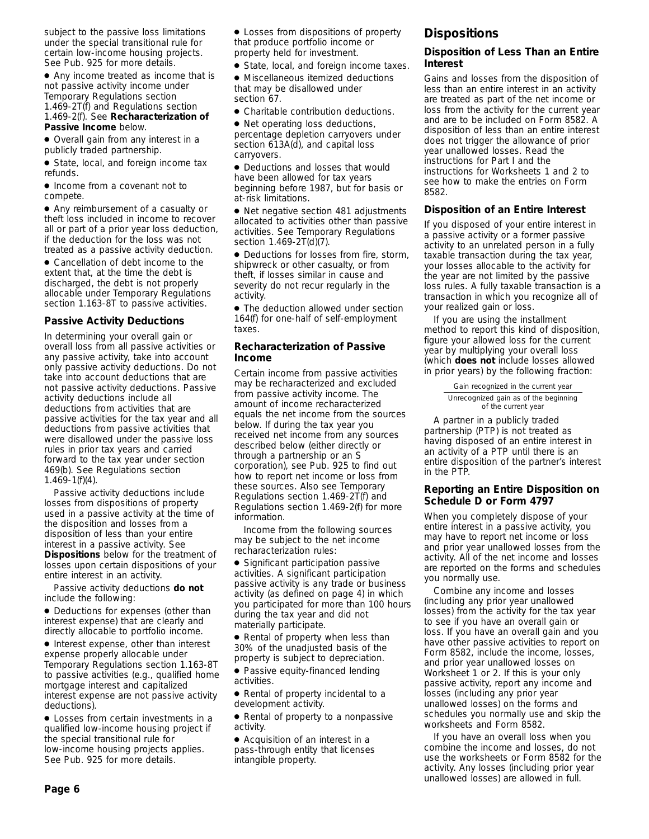subject to the passive loss limitations under the special transitional rule for certain low-income housing projects. See Pub. 925 for more details.

● Any income treated as income that is not passive activity income under Temporary Regulations section 1.469-2T(f) and Regulations section 1.469-2(f). See **Recharacterization of Passive Income** below.

● Overall gain from any interest in a publicly traded partnership.

● State, local, and foreign income tax refunds.

● Income from a covenant not to compete.

● Any reimbursement of a casualty or theft loss included in income to recover all or part of a prior year loss deduction, if the deduction for the loss was not treated as a passive activity deduction.

● Cancellation of debt income to the extent that, at the time the debt is discharged, the debt is not properly allocable under Temporary Regulations section 1.163-8T to passive activities.

### **Passive Activity Deductions**

In determining your overall gain or overall loss from all passive activities or any passive activity, take into account only passive activity deductions. Do not take into account deductions that are not passive activity deductions. Passive activity deductions include all deductions from activities that are passive activities for the tax year and all deductions from passive activities that were disallowed under the passive loss rules in prior tax years and carried forward to the tax year under section 469(b). See Regulations section 1.469-1(f)(4).

Passive activity deductions include losses from dispositions of property used in a passive activity at the time of the disposition and losses from a disposition of less than your entire interest in a passive activity. See **Dispositions** below for the treatment of losses upon certain dispositions of your entire interest in an activity.

Passive activity deductions **do not** include the following:

● Deductions for expenses (other than interest expense) that are clearly and directly allocable to portfolio income.

● Interest expense, other than interest expense properly allocable under Temporary Regulations section 1.163-8T to passive activities (e.g., qualified home mortgage interest and capitalized interest expense are not passive activity deductions).

● Losses from certain investments in a qualified low-income housing project if the special transitional rule for low-income housing projects applies. See Pub. 925 for more details.

● Losses from dispositions of property that produce portfolio income or property held for investment.

● State, local, and foreign income taxes.

● Miscellaneous itemized deductions that may be disallowed under section 67.

● Charitable contribution deductions.

• Net operating loss deductions, percentage depletion carryovers under section 613A(d), and capital loss carryovers.

● Deductions and losses that would have been allowed for tax years beginning before 1987, but for basis or at-risk limitations.

● Net negative section 481 adjustments allocated to activities other than passive activities. See Temporary Regulations section 1.469-2T(d)(7).

● Deductions for losses from fire, storm, shipwreck or other casualty, or from theft, if losses similar in cause and severity do not recur regularly in the activity.

● The deduction allowed under section 164(f) for one-half of self-employment taxes.

### **Recharacterization of Passive Income**

Certain income from passive activities may be recharacterized and excluded from passive activity income. The amount of income recharacterized equals the net income from the sources below. If during the tax year you received net income from any sources described below (either directly or through a partnership or an S corporation), see Pub. 925 to find out how to report net income or loss from these sources. Also see Temporary Regulations section 1.469-2T(f) and Regulations section 1.469-2(f) for more information.

Income from the following sources may be subject to the net income recharacterization rules:

● Significant participation passive activities. A significant participation passive activity is any trade or business activity (as defined on page 4) in which you participated for more than 100 hours during the tax year and did not materially participate.

• Rental of property when less than 30% of the unadjusted basis of the property is subject to depreciation.

● Passive equity-financed lending activities.

● Rental of property incidental to a development activity.

● Rental of property to a nonpassive activity.

● Acquisition of an interest in a pass-through entity that licenses intangible property.

## **Dispositions**

#### **Disposition of Less Than an Entire Interest**

Gains and losses from the disposition of less than an entire interest in an activity are treated as part of the net income or loss from the activity for the current year and are to be included on Form 8582. A disposition of less than an entire interest does not trigger the allowance of prior year unallowed losses. Read the instructions for Part I and the instructions for Worksheets 1 and 2 to see how to make the entries on Form 8582.

### **Disposition of an Entire Interest**

If you disposed of your entire interest in a passive activity or a former passive activity to an unrelated person in a fully taxable transaction during the tax year, your losses allocable to the activity for the year are not limited by the passive loss rules. A fully taxable transaction is a transaction in which you recognize all of your realized gain or loss.

If you are using the installment method to report this kind of disposition, figure your allowed loss for the current year by multiplying your overall loss (which **does not** include losses allowed in prior years) by the following fraction:

> Gain recognized in the current year Unrecognized gain as of the beginning of the current year

A partner in a publicly traded partnership (PTP) is not treated as having disposed of an entire interest in an activity of a PTP until there is an entire disposition of the partner's interest in the PTP.

### **Reporting an Entire Disposition on Schedule D or Form 4797**

When you completely dispose of your entire interest in a passive activity, you may have to report net income or loss and prior year unallowed losses from the activity. All of the net income and losses are reported on the forms and schedules you normally use.

Combine any income and losses (including any prior year unallowed losses) from the activity for the tax year to see if you have an overall gain or loss. If you have an overall gain and you have other passive activities to report on Form 8582, include the income, losses, and prior year unallowed losses on Worksheet 1 or 2. If this is your only passive activity, report any income and losses (including any prior year unallowed losses) on the forms and schedules you normally use and skip the worksheets and Form 8582.

If you have an overall loss when you combine the income and losses, do not use the worksheets or Form 8582 for the activity. Any losses (including prior year unallowed losses) are allowed in full.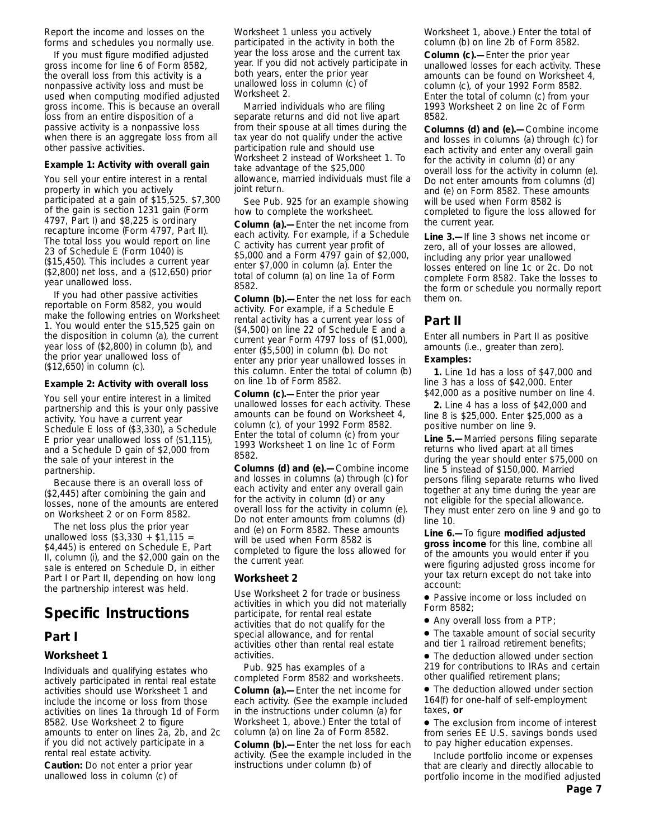Report the income and losses on the forms and schedules you normally use.

If you must figure modified adjusted gross income for line 6 of Form 8582, the overall loss from this activity is a nonpassive activity loss and must be used when computing modified adjusted gross income. This is because an overall loss from an entire disposition of a passive activity is a nonpassive loss when there is an aggregate loss from all other passive activities.

#### **Example 1: Activity with overall gain**

You sell your entire interest in a rental property in which you actively participated at a gain of \$15,525. \$7,300 of the gain is section 1231 gain (Form 4797, Part I) and \$8,225 is ordinary recapture income (Form 4797, Part II). The total loss you would report on line 23 of Schedule E (Form 1040) is (\$15,450). This includes a current year (\$2,800) net loss, and a (\$12,650) prior year unallowed loss.

If you had other passive activities reportable on Form 8582, you would make the following entries on Worksheet 1. You would enter the \$15,525 gain on the disposition in column (a), the current year loss of (\$2,800) in column (b), and the prior year unallowed loss of (\$12,650) in column (c).

#### **Example 2: Activity with overall loss**

You sell your entire interest in a limited partnership and this is your only passive activity. You have a current year Schedule E loss of (\$3,330), a Schedule E prior year unallowed loss of (\$1,115), and a Schedule D gain of \$2,000 from the sale of your interest in the partnership.

Because there is an overall loss of (\$2,445) after combining the gain and losses, none of the amounts are entered on Worksheet 2 or on Form 8582.

The net loss plus the prior year unallowed loss (\$3,330 + \$1,115 = \$4,445) is entered on Schedule E, Part II, column (i), and the \$2,000 gain on the sale is entered on Schedule D, in either Part I or Part II, depending on how long the partnership interest was held.

# **Specific Instructions**

#### **Part I**

#### **Worksheet 1**

Individuals and qualifying estates who actively participated in rental real estate activities should use Worksheet 1 and include the income or loss from those activities on lines 1a through 1d of Form 8582. Use Worksheet 2 to figure amounts to enter on lines 2a, 2b, and 2c if you did not actively participate in a rental real estate activity.

**Caution:** *Do not enter a prior year unallowed loss in column (c) of*

*Worksheet 1 unless you actively participated in the activity in both the year the loss arose and the current tax year. If you did not actively participate in both years, enter the prior year unallowed loss in column (c) of Worksheet 2.*

*Married individuals who are filing separate returns and did not live apart from their spouse at all times during the tax year do not qualify under the active participation rule and should use Worksheet 2 instead of Worksheet 1. To take advantage of the \$25,000 allowance, married individuals must file a joint return.*

See Pub. 925 for an example showing how to complete the worksheet.

**Column (a).—**Enter the net income from each activity. For example, if a Schedule C activity has current year profit of \$5,000 and a Form 4797 gain of \$2,000, enter \$7,000 in column (a). Enter the total of column (a) on line 1a of Form 8582.

**Column (b).—**Enter the net loss for each activity. For example, if a Schedule E rental activity has a current year loss of (\$4,500) on line 22 of Schedule E and a current year Form 4797 loss of (\$1,000), enter (\$5,500) in column (b). Do not enter any prior year unallowed losses in this column. Enter the total of column (b) on line 1b of Form 8582.

**Column (c).—**Enter the prior year unallowed losses for each activity. These amounts can be found on Worksheet 4, column (c), of your 1992 Form 8582. Enter the total of column (c) from your 1993 Worksheet 1 on line 1c of Form 8582.

**Columns (d) and (e).—**Combine income and losses in columns (a) through (c) for each activity and enter any overall gain for the activity in column (d) or any overall loss for the activity in column (e). Do not enter amounts from columns (d) and (e) on Form 8582. These amounts will be used when Form 8582 is completed to figure the loss allowed for the current year.

#### **Worksheet 2**

Use Worksheet 2 for trade or business activities in which you did not materially participate, for rental real estate activities that do not qualify for the special allowance, and for rental activities other than rental real estate activities.

Pub. 925 has examples of a completed Form 8582 and worksheets.

**Column (a).—**Enter the net income for each activity. (See the example included in the instructions under column (a) for Worksheet 1, above.) Enter the total of column (a) on line 2a of Form 8582.

**Column (b).—**Enter the net loss for each activity. (See the example included in the instructions under column (b) of

Worksheet 1, above.) Enter the total of column (b) on line 2b of Form 8582.

**Column (c).—**Enter the prior year unallowed losses for each activity. These amounts can be found on Worksheet 4, column (c), of your 1992 Form 8582. Enter the total of column (c) from your 1993 Worksheet 2 on line 2c of Form 8582.

**Columns (d) and (e).—**Combine income and losses in columns (a) through (c) for each activity and enter any overall gain for the activity in column (d) or any overall loss for the activity in column (e). Do not enter amounts from columns (d) and (e) on Form 8582. These amounts will be used when Form 8582 is completed to figure the loss allowed for the current year.

**Line 3.—**If line 3 shows net income or zero, all of your losses are allowed, including any prior year unallowed losses entered on line 1c or 2c. Do not complete Form 8582. Take the losses to the form or schedule you normally report them on.

#### **Part II**

Enter all numbers in Part II as positive amounts (i.e., greater than zero).

#### **Examples:**

**1.** Line 1d has a loss of \$47,000 and line 3 has a loss of \$42,000. Enter \$42,000 as a positive number on line 4.

**2.** Line 4 has a loss of \$42,000 and line 8 is \$25,000. Enter \$25,000 as a positive number on line 9.

**Line 5.—**Married persons filing separate returns who lived apart at all times during the year should enter \$75,000 on line 5 instead of \$150,000. Married persons filing separate returns who lived together at any time during the year are not eligible for the special allowance. They must enter zero on line 9 and go to line 10.

**Line 6.—**To figure **modified adjusted gross income** for this line, combine all of the amounts you would enter if you were figuring adjusted gross income for your tax return except do not take into account:

- Passive income or loss included on Form 8582;
- $\bullet$  Any overall loss from a PTP;

● The taxable amount of social security and tier 1 railroad retirement benefits;

● The deduction allowed under section 219 for contributions to IRAs and certain other qualified retirement plans;

● The deduction allowed under section 164(f) for one-half of self-employment taxes, **or**

● The exclusion from income of interest from series EE U.S. savings bonds used to pay higher education expenses.

Include portfolio income or expenses that are clearly and directly allocable to portfolio income in the modified adjusted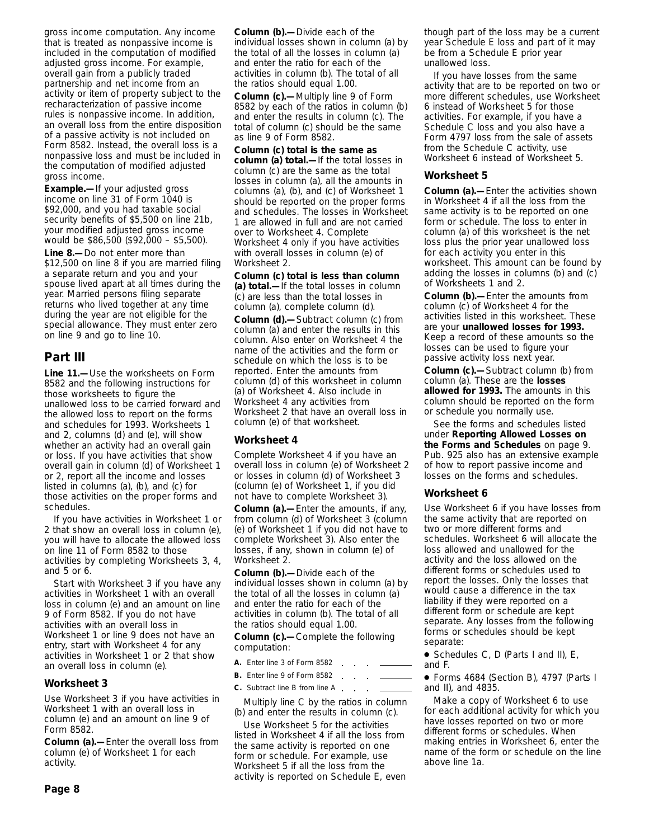gross income computation. Any income that is treated as nonpassive income is included in the computation of modified adjusted gross income. For example, overall gain from a publicly traded partnership and net income from an activity or item of property subject to the recharacterization of passive income rules is nonpassive income. In addition, an overall loss from the entire disposition of a passive activity is not included on Form 8582. Instead, the overall loss is a nonpassive loss and must be included in the computation of modified adjusted gross income.

**Example.—**If your adjusted gross income on line 31 of Form 1040 is \$92,000, and you had taxable social security benefits of \$5,500 on line 21b, your modified adjusted gross income would be \$86,500 (\$92,000 – \$5,500).

**Line 8.—**Do not enter more than \$12,500 on line 8 if you are married filing a separate return and you and your spouse lived apart at all times during the year. Married persons filing separate returns who lived together at any time during the year are not eligible for the special allowance. They must enter zero on line 9 and go to line 10.

## **Part III**

**Line 11.—**Use the worksheets on Form 8582 and the following instructions for those worksheets to figure the unallowed loss to be carried forward and the allowed loss to report on the forms and schedules for 1993. Worksheets 1 and 2, columns (d) and (e), will show whether an activity had an overall gain or loss. If you have activities that show overall gain in column (d) of Worksheet 1 or 2, report all the income and losses listed in columns (a), (b), and (c) for those activities on the proper forms and schedules.

If you have activities in Worksheet 1 or 2 that show an overall loss in column (e), you will have to allocate the allowed loss on line 11 of Form 8582 to those activities by completing Worksheets 3, 4, and 5 or 6.

Start with Worksheet 3 if you have any activities in Worksheet 1 with an overall loss in column (e) and an amount on line 9 of Form 8582. If you do not have activities with an overall loss in Worksheet 1 or line 9 does not have an entry, start with Worksheet 4 for any activities in Worksheet 1 or 2 that show an overall loss in column (e).

### **Worksheet 3**

Use Worksheet 3 if you have activities in Worksheet 1 with an overall loss in column (e) and an amount on line 9 of Form 8582.

**Column (a).—**Enter the overall loss from column (e) of Worksheet 1 for each activity.

**Column (b).—**Divide each of the individual losses shown in column (a) by the total of all the losses in column (a) and enter the ratio for each of the activities in column (b). The total of all the ratios should equal 1.00.

**Column (c).—**Multiply line 9 of Form 8582 by each of the ratios in column (b) and enter the results in column (c). The total of column (c) should be the same as line 9 of Form 8582.

**Column (c) total is the same as column (a) total.—**If the total losses in column (c) are the same as the total losses in column (a), all the amounts in columns (a), (b), and (c) of Worksheet 1 should be reported on the proper forms and schedules. The losses in Worksheet 1 are allowed in full and are not carried over to Worksheet 4. Complete Worksheet 4 only if you have activities with overall losses in column (e) of Worksheet 2.

**Column (c) total is less than column (a) total.—**If the total losses in column (c) are less than the total losses in column (a), complete column (d).

**Column (d).—**Subtract column (c) from column (a) and enter the results in this column. Also enter on Worksheet 4 the name of the activities and the form or schedule on which the loss is to be reported. Enter the amounts from column (d) of this worksheet in column (a) of Worksheet 4. Also include in Worksheet 4 any activities from Worksheet 2 that have an overall loss in column (e) of that worksheet.

### **Worksheet 4**

Complete Worksheet 4 if you have an overall loss in column (e) of Worksheet 2 or losses in column (d) of Worksheet 3 (column (e) of Worksheet 1, if you did not have to complete Worksheet 3).

**Column (a).—**Enter the amounts, if any, from column (d) of Worksheet 3 (column (e) of Worksheet 1 if you did not have to complete Worksheet 3). Also enter the losses, if any, shown in column (e) of Worksheet 2.

**Column (b).—**Divide each of the individual losses shown in column (a) by the total of all the losses in column (a) and enter the ratio for each of the activities in column (b). The total of all the ratios should equal 1.00.

**Column (c).—**Complete the following computation:

- **A.** Enter line 3 of Form 8582
- **B.** Enter line 9 of Form 8582
- **C.** Subtract line B from line A  $\mathcal{A}^{\mathcal{A}}$  and  $\mathcal{A}^{\mathcal{A}}$

Multiply line C by the ratios in column (b) and enter the results in column (c).

Use Worksheet 5 for the activities listed in Worksheet 4 if all the loss from the same activity is reported on one form or schedule. For example, use Worksheet 5 if all the loss from the activity is reported on Schedule E, even though part of the loss may be a current year Schedule E loss and part of it may be from a Schedule E prior year unallowed loss.

If you have losses from the same activity that are to be reported on two or more different schedules, use Worksheet 6 instead of Worksheet 5 for those activities. For example, if you have a Schedule C loss and you also have a Form 4797 loss from the sale of assets from the Schedule C activity, use Worksheet 6 instead of Worksheet 5.

### **Worksheet 5**

**Column (a).—**Enter the activities shown in Worksheet 4 if all the loss from the same activity is to be reported on one form or schedule. The loss to enter in column (a) of this worksheet is the net loss plus the prior year unallowed loss for each activity you enter in this worksheet. This amount can be found by adding the losses in columns (b) and (c) of Worksheets 1 and 2.

**Column (b).—**Enter the amounts from column (c) of Worksheet 4 for the activities listed in this worksheet. These are your **unallowed losses for 1993.** Keep a record of these amounts so the losses can be used to figure your passive activity loss next year.

**Column (c).—**Subtract column (b) from column (a). These are the **losses allowed for 1993.** The amounts in this column should be reported on the form or schedule you normally use.

See the forms and schedules listed under **Reporting Allowed Losses on the Forms and Schedules** on page 9. Pub. 925 also has an extensive example of how to report passive income and losses on the forms and schedules.

### **Worksheet 6**

Use Worksheet 6 if you have losses from the same activity that are reported on two or more different forms and schedules. Worksheet 6 will allocate the loss allowed and unallowed for the activity and the loss allowed on the different forms or schedules used to report the losses. Only the losses that would cause a difference in the tax liability if they were reported on a different form or schedule are kept separate. Any losses from the following forms or schedules should be kept separate:

● Schedules C, D (Parts I and II), E, and F.

● Forms 4684 (Section B), 4797 (Parts I and II), and 4835.

Make a copy of Worksheet 6 to use for each additional activity for which you have losses reported on two or more different forms or schedules. When making entries in Worksheet 6, enter the name of the form or schedule on the line above line 1a.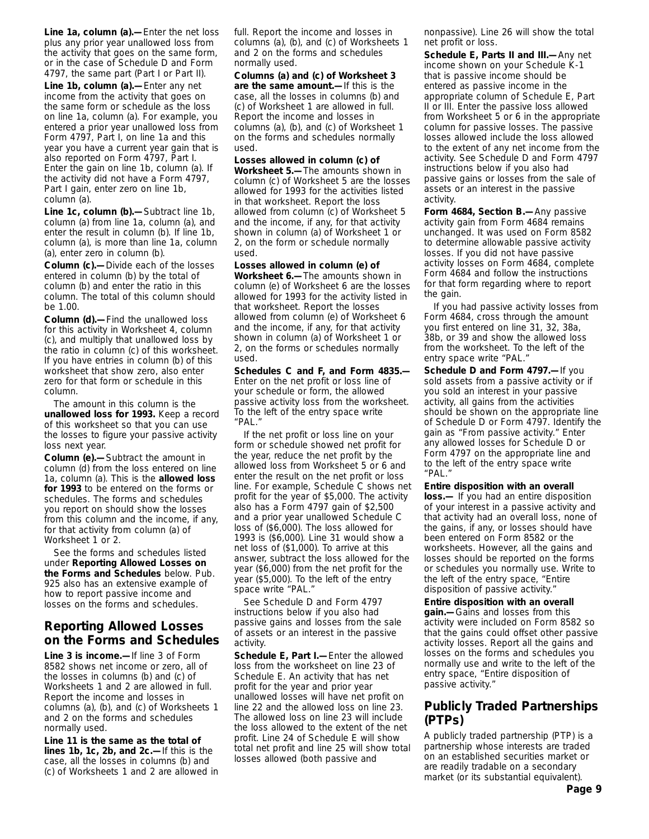**Line 1a, column (a).—**Enter the net loss plus any prior year unallowed loss from the activity that goes on the same form, or in the case of Schedule D and Form 4797, the same part (Part I or Part II).

**Line 1b, column (a).—**Enter any net income from the activity that goes on the same form or schedule as the loss on line 1a, column (a). For example, you entered a prior year unallowed loss from Form 4797, Part I, on line 1a and this year you have a current year gain that is also reported on Form 4797, Part I. Enter the gain on line 1b, column (a). If the activity did not have a Form 4797, Part I gain, enter zero on line 1b, column (a).

**Line 1c, column (b).—**Subtract line 1b, column (a) from line 1a, column (a), and enter the result in column (b). If line 1b, column (a), is more than line 1a, column (a), enter zero in column (b).

**Column (c).—**Divide each of the losses entered in column (b) by the total of column (b) and enter the ratio in this column. The total of this column should be 1.00.

**Column (d).—**Find the unallowed loss for this activity in Worksheet 4, column (c), and multiply that unallowed loss by the ratio in column (c) of this worksheet. If you have entries in column (b) of this worksheet that show zero, also enter zero for that form or schedule in this column.

The amount in this column is the **unallowed loss for 1993.** Keep a record of this worksheet so that you can use the losses to figure your passive activity loss next year.

**Column (e).—**Subtract the amount in column (d) from the loss entered on line 1a, column (a). This is the **allowed loss for 1993** to be entered on the forms or schedules. The forms and schedules you report on should show the losses from this column and the income, if any, for that activity from column (a) of Worksheet 1 or 2.

See the forms and schedules listed under **Reporting Allowed Losses on the Forms and Schedules** below. Pub. 925 also has an extensive example of how to report passive income and losses on the forms and schedules.

# **Reporting Allowed Losses on the Forms and Schedules**

**Line 3 is income.—**If line 3 of Form 8582 shows net income or zero, all of the losses in columns (b) and (c) of Worksheets 1 and 2 are allowed in full. Report the income and losses in columns (a), (b), and (c) of Worksheets 1 and 2 on the forms and schedules normally used.

**Line 11 is the same as the total of lines 1b, 1c, 2b, and 2c.—**If this is the case, all the losses in columns (b) and (c) of Worksheets 1 and 2 are allowed in full. Report the income and losses in columns (a), (b), and (c) of Worksheets 1 and 2 on the forms and schedules normally used.

**Columns (a) and (c) of Worksheet 3 are the same amount.—**If this is the case, all the losses in columns (b) and (c) of Worksheet 1 are allowed in full. Report the income and losses in columns (a), (b), and (c) of Worksheet 1 on the forms and schedules normally used.

**Losses allowed in column (c) of Worksheet 5.—**The amounts shown in column (c) of Worksheet 5 are the losses allowed for 1993 for the activities listed in that worksheet. Report the loss allowed from column (c) of Worksheet 5 and the income, if any, for that activity shown in column (a) of Worksheet 1 or 2, on the form or schedule normally used.

**Losses allowed in column (e) of Worksheet 6.—**The amounts shown in column (e) of Worksheet 6 are the losses allowed for 1993 for the activity listed in that worksheet. Report the losses allowed from column (e) of Worksheet 6 and the income, if any, for that activity shown in column (a) of Worksheet 1 or 2, on the forms or schedules normally used.

**Schedules C and F, and Form 4835.—** Enter on the net profit or loss line of your schedule or form, the allowed passive activity loss from the worksheet. To the left of the entry space write "PAL."

If the net profit or loss line on your form or schedule showed net profit for the year, reduce the net profit by the allowed loss from Worksheet 5 or 6 and enter the result on the net profit or loss line. For example, Schedule C shows net profit for the year of \$5,000. The activity also has a Form 4797 gain of \$2,500 and a prior year unallowed Schedule C loss of (\$6,000). The loss allowed for 1993 is (\$6,000). Line 31 would show a net loss of (\$1,000). To arrive at this answer, subtract the loss allowed for the year (\$6,000) from the net profit for the year (\$5,000). To the left of the entry space write "PAL."

See Schedule D and Form 4797 instructions below if you also had passive gains and losses from the sale of assets or an interest in the passive activity.

**Schedule E, Part I.—**Enter the allowed loss from the worksheet on line 23 of Schedule E. An activity that has net profit for the year and prior year unallowed losses will have net profit on line 22 and the allowed loss on line 23. The allowed loss on line 23 will include the loss allowed to the extent of the net profit. Line 24 of Schedule E will show total net profit and line 25 will show total losses allowed (both passive and

nonpassive). Line 26 will show the total net profit or loss.

**Schedule E, Parts II and III.—**Any net income shown on your Schedule K-1 that is passive income should be entered as passive income in the appropriate column of Schedule E, Part II or III. Enter the passive loss allowed from Worksheet 5 or 6 in the appropriate column for passive losses. The passive losses allowed include the loss allowed to the extent of any net income from the activity. See Schedule D and Form 4797 instructions below if you also had passive gains or losses from the sale of assets or an interest in the passive activity.

**Form 4684, Section B.—**Any passive activity gain from Form 4684 remains unchanged. It was used on Form 8582 to determine allowable passive activity losses. If you did not have passive activity losses on Form 4684, complete Form 4684 and follow the instructions for that form regarding where to report the gain.

If you had passive activity losses from Form 4684, cross through the amount you first entered on line 31, 32, 38a, 38b, or 39 and show the allowed loss from the worksheet. To the left of the entry space write "PAL."

**Schedule D and Form 4797.—**If you sold assets from a passive activity or if you sold an interest in your passive activity, all gains from the activities should be shown on the appropriate line of Schedule D or Form 4797. Identify the gain as "From passive activity." Enter any allowed losses for Schedule D or Form 4797 on the appropriate line and to the left of the entry space write "PAL."

**Entire disposition with an overall**

**loss.—** If you had an entire disposition of your interest in a passive activity and that activity had an overall loss, none of the gains, if any, or losses should have been entered on Form 8582 or the worksheets. However, all the gains and losses should be reported on the forms or schedules you normally use. Write to the left of the entry space, "Entire disposition of passive activity."

**Entire disposition with an overall gain.—**Gains and losses from this activity were included on Form 8582 so that the gains could offset other passive activity losses. Report all the gains and losses on the forms and schedules you normally use and write to the left of the entry space, "Entire disposition of passive activity."

## **Publicly Traded Partnerships (PTPs)**

A publicly traded partnership (PTP) is a partnership whose interests are traded on an established securities market or are readily tradable on a secondary market (or its substantial equivalent).